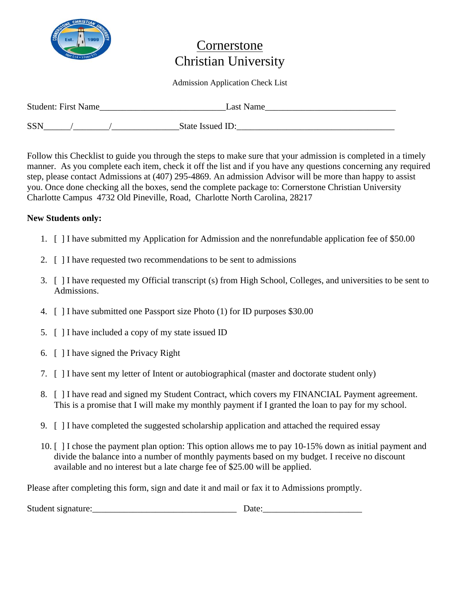

## Cornerstone Christian University

### Admission Application Check List

| <b>Student: First Name</b> | Last Name        |  |
|----------------------------|------------------|--|
| <b>SSN</b>                 | State Issued ID: |  |

Follow this Checklist to guide you through the steps to make sure that your admission is completed in a timely manner. As you complete each item, check it off the list and if you have any questions concerning any required step, please contact Admissions at (407) 295-4869. An admission Advisor will be more than happy to assist you. Once done checking all the boxes, send the complete package to: Cornerstone Christian University Charlotte Campus 4732 Old Pineville, Road, Charlotte North Carolina, 28217

## **New Students only:**

- 1. [ ] I have submitted my Application for Admission and the nonrefundable application fee of \$50.00
- 2. [ ] I have requested two recommendations to be sent to admissions
- 3. [ ] I have requested my Official transcript (s) from High School, Colleges, and universities to be sent to Admissions.
- 4. [ ] I have submitted one Passport size Photo (1) for ID purposes \$30.00
- 5. [ ] I have included a copy of my state issued ID
- 6. [ ] I have signed the Privacy Right
- 7. [ ] I have sent my letter of Intent or autobiographical (master and doctorate student only)
- 8. [ ] I have read and signed my Student Contract, which covers my FINANCIAL Payment agreement. This is a promise that I will make my monthly payment if I granted the loan to pay for my school.
- 9. [ ] I have completed the suggested scholarship application and attached the required essay
- 10. [ ] I chose the payment plan option: This option allows me to pay 10-15% down as initial payment and divide the balance into a number of monthly payments based on my budget. I receive no discount available and no interest but a late charge fee of \$25.00 will be applied.

Please after completing this form, sign and date it and mail or fax it to Admissions promptly.

| Student signature: |  |
|--------------------|--|
|                    |  |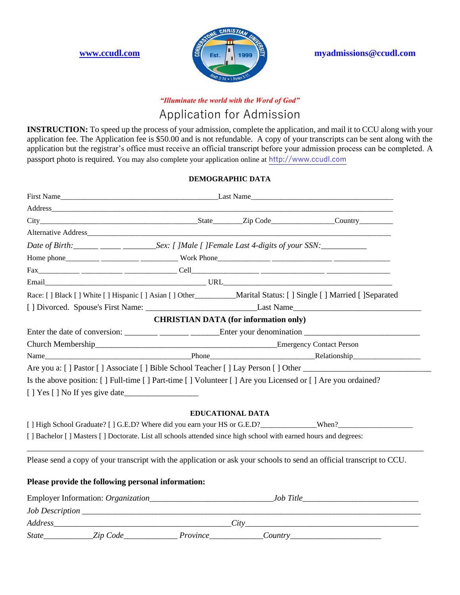

**[www.ccudl.com](http://www.ccudl.com/) and <b>E Ext myadmissions@ccudl.com** 

## *"Illuminate the world with the Word of God"*

## Application for Admission

**INSTRUCTION:** To speed up the process of your admission, complete the application, and mail it to CCU along with your application fee. The Application fee is \$50.00 and is not refundable. A copy of your transcripts can be sent along with the application but the registrar's office must receive an official transcript before your admission process can be completed. A passport photo is required. You may also complete your application online at [http://www.ccudl.com](http://www.ccudl.com/) 

#### **DEMOGRAPHIC DATA**

|                                                                                                                       | First Name |                                              |  |
|-----------------------------------------------------------------------------------------------------------------------|------------|----------------------------------------------|--|
|                                                                                                                       |            |                                              |  |
|                                                                                                                       |            |                                              |  |
|                                                                                                                       |            |                                              |  |
| Date of Birth: ______ _____ _____________Sex: [ ]Male [ ]Female Last 4-digits of your SSN: __________________         |            |                                              |  |
|                                                                                                                       |            |                                              |  |
|                                                                                                                       |            |                                              |  |
|                                                                                                                       |            |                                              |  |
| Race: [] Black [] White [] Hispanic [] Asian [] Other__________Marital Status: [] Single [] Married [] Separated      |            |                                              |  |
|                                                                                                                       |            |                                              |  |
|                                                                                                                       |            | <b>CHRISTIAN DATA (for information only)</b> |  |
|                                                                                                                       |            |                                              |  |
| Church Membership Emergency Contact Person                                                                            |            |                                              |  |
| Name Relationship Relationship Relationship                                                                           |            |                                              |  |
|                                                                                                                       |            |                                              |  |
| Is the above position: [] Full-time [] Part-time [] Volunteer [] Are you Licensed or [] Are you ordained?             |            |                                              |  |
|                                                                                                                       |            |                                              |  |
|                                                                                                                       |            |                                              |  |
|                                                                                                                       |            | <b>EDUCATIONAL DATA</b>                      |  |
|                                                                                                                       |            |                                              |  |
| [ ] Bachelor [ ] Masters [ ] Doctorate. List all schools attended since high school with earned hours and degrees:    |            |                                              |  |
| Please send a copy of your transcript with the application or ask your schools to send an official transcript to CCU. |            |                                              |  |
|                                                                                                                       |            |                                              |  |
| Please provide the following personal information:                                                                    |            |                                              |  |
|                                                                                                                       |            |                                              |  |
|                                                                                                                       |            |                                              |  |
|                                                                                                                       |            |                                              |  |
| State_____________Zip Code__________________Province______________Country___________________________                  |            |                                              |  |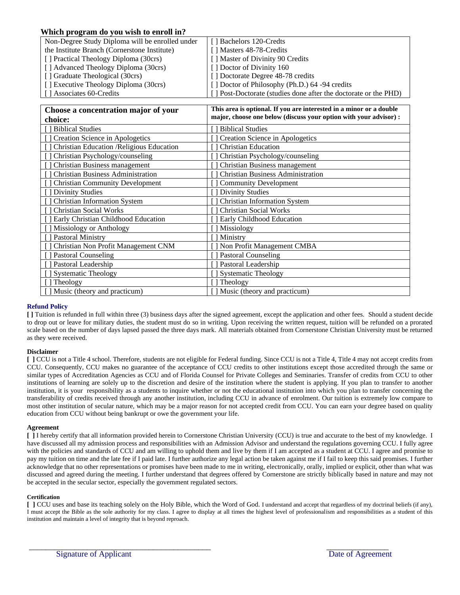#### **Which program do you wish to enroll in?**

| Non-Degree Study Diploma will be enrolled under | [ ] Bachelors 120-Credts                                        |
|-------------------------------------------------|-----------------------------------------------------------------|
| the Institute Branch (Cornerstone Institute)    | [] Masters 48-78-Credits                                        |
| [] Practical Theology Diploma (30crs)           | [] Master of Divinity 90 Credits                                |
| [] Advanced Theology Diploma (30crs)            | [ Doctor of Divinity 160]                                       |
| [] Graduate Theological (30crs)                 | [] Doctorate Degree 48-78 credits                               |
| [ ] Executive Theology Diploma (30crs)          | [] Doctor of Philosophy (Ph.D.) 64 -94 credits                  |
| [] Associates 60-Credits                        | [] Post-Doctorate (studies done after the doctorate or the PHD) |

| Choose a concentration major of your      | This area is optional. If you are interested in a minor or a double |
|-------------------------------------------|---------------------------------------------------------------------|
| choice:                                   | major, choose one below (discuss your option with your advisor) :   |
| [] Biblical Studies                       | <b>Biblical Studies</b>                                             |
| Creation Science in Apologetics           | Creation Science in Apologetics                                     |
| Christian Education / Religious Education | <b>Christian Education</b>                                          |
| Christian Psychology/counseling           | Christian Psychology/counseling                                     |
| Christian Business management             | Christian Business management                                       |
| <b>Christian Business Administration</b>  | <b>Christian Business Administration</b>                            |
| <b>Christian Community Development</b>    | <b>Community Development</b>                                        |
| <b>Divinity Studies</b>                   | <b>Divinity Studies</b>                                             |
| <b>Christian Information System</b>       | <b>Christian Information System</b>                                 |
| <b>Christian Social Works</b>             | <b>Christian Social Works</b>                                       |
| Early Christian Childhood Education       | Early Childhood Education                                           |
| ] Missiology or Anthology                 | Missiology                                                          |
| ] Pastoral Ministry                       | Ministry                                                            |
| Christian Non Profit Management CNM       | Non Profit Management CMBA                                          |
| ] Pastoral Counseling                     | <b>Pastoral Counseling</b>                                          |
| ] Pastoral Leadership                     | Pastoral Leadership                                                 |
| ] Systematic Theology                     | <b>Systematic Theology</b>                                          |
| Theology                                  | Theology                                                            |
| [] Music (theory and practicum)           | Music (theory and practicum)                                        |

#### **Refund Policy**

**[ ]** Tuition is refunded in full within three (3) business days after the signed agreement, except the application and other fees. Should a student decide to drop out or leave for military duties, the student must do so in writing. Upon receiving the written request, tuition will be refunded on a prorated scale based on the number of days lapsed passed the three days mark. All materials obtained from Cornerstone Christian University must be returned as they were received.

#### **Disclaimer**

**[ ]** CCU is not a Title 4 school. Therefore, students are not eligible for Federal funding. Since CCU is not a Title 4, Title 4 may not accept credits from CCU. Consequently, CCU makes no guarantee of the acceptance of CCU credits to other institutions except those accredited through the same or similar types of Accreditation Agencies as CCU and of Florida Counsel for Private Colleges and Seminaries. Transfer of credits from CCU to other institutions of learning are solely up to the discretion and desire of the institution where the student is applying. If you plan to transfer to another institution, it is your responsibility as a students to inquire whether or not the educational institution into which you plan to transfer concerning the transferability of credits received through any another institution, including CCU in advance of enrolment. Our tuition is extremely low compare to most other institution of secular nature, which may be a major reason for not accepted credit from CCU. You can earn your degree based on quality education from CCU without being bankrupt or owe the government your life.

#### **Agreement**

**[ ]** I hereby certify that all information provided herein to Cornerstone Christian University (CCU) is true and accurate to the best of my knowledge. I have discussed all my admission process and responsibilities with an Admission Advisor and understand the regulations governing CCU. I fully agree with the policies and standards of CCU and am willing to uphold them and live by them if I am accepted as a student at CCU. I agree and promise to pay my tuition on time and the late fee if I paid late. I further authorize any legal action be taken against me if I fail to keep this said promises. I further acknowledge that no other representations or promises have been made to me in writing, electronically, orally, implied or explicit, other than what was discussed and agreed during the meeting. I further understand that degrees offered by Cornerstone are strictly biblically based in nature and may not be accepted in the secular sector, especially the government regulated sectors.

#### **Certification**

**[ ]** CCU uses and base its teaching solely on the Holy Bible, which the Word of God. I understand and accept that regardless of my doctrinal beliefs (if any), I must accept the Bible as the sole authority for my class. I agree to display at all times the highest level of professionalism and responsibilities as a student of this institution and maintain a level of integrity that is beyond reproach.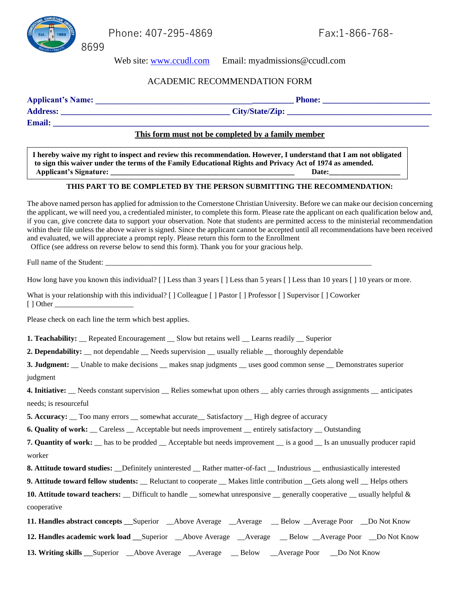

Phone: 407-295-4869 Fax:1-866-768-

Web site: [www.ccudl.com](http://www.ccudl.com/) Email: myadmissions@ccudl.com

### ACADEMIC RECOMMENDATION FORM

Applicant's Name: **and Exercise 2.1 and Exercise 2.1 and Phone: Phone: Phone: Phone: Phone: Phone: Phone: Phone: Phone: Phone: Phone: Phone: Phone: Phone: Phone: Phone: Phone: Phone: Pho** 

### **Address: \_\_\_\_\_\_\_\_\_\_\_\_\_\_\_\_\_\_\_\_\_\_\_\_\_\_\_\_\_\_\_\_\_\_\_\_\_\_\_\_\_ City/State/Zip: \_\_\_\_\_\_\_\_\_\_\_\_\_\_\_\_\_\_\_\_\_\_\_\_\_\_\_\_\_\_\_\_\_\_\_ Email: \_\_\_\_\_\_\_\_\_\_\_\_\_\_\_\_\_\_\_\_\_\_\_\_\_\_\_\_\_\_\_\_\_\_\_\_\_\_\_\_\_\_\_\_\_\_\_\_\_\_\_\_\_\_\_\_\_\_\_\_\_\_\_\_\_\_\_\_\_\_\_\_\_\_\_\_\_\_\_\_\_\_\_\_\_\_\_\_\_\_\_**

#### **This form must not be completed by a family member**

**I hereby waive my right to inspect and review this recommendation. However, I understand that I am not obligated to sign this waiver under the terms of the Family Educational Rights and Privacy Act of 1974 as amended. Applicant's Signature: \_\_\_\_\_\_\_\_\_\_\_\_\_\_\_\_\_\_\_\_\_\_\_\_\_\_\_\_\_\_\_\_\_\_\_\_\_\_\_\_\_\_\_\_\_\_\_\_\_ Date:\_\_\_\_\_\_\_\_\_\_\_\_\_\_\_\_\_\_\_**

### **THIS PART TO BE COMPLETED BY THE PERSON SUBMITTING THE RECOMMENDATION:**

The above named person has applied for admission to the Cornerstone Christian University. Before we can make our decision concerning the applicant, we will need you, a credentialed minister, to complete this form. Please rate the applicant on each qualification below and, if you can, give concrete data to support your observation. Note that students are permitted access to the ministerial recommendation within their file unless the above waiver is signed. Since the applicant cannot be accepted until all recommendations have been received and evaluated, we will appreciate a prompt reply. Please return this form to the Enrollment

Office (see address on reverse below to send this form). Thank you for your gracious help.

Full name of the Student:

How long have you known this individual? [] Less than 3 years [] Less than 5 years [] Less than 10 years [] 10 years or more.

What is your relationship with this individual? [ ] Colleague [ ] Pastor [ ] Professor [ ] Supervisor [ ] Coworker [ ] Other \_\_\_\_\_\_\_\_\_\_\_\_\_\_\_\_\_\_\_\_\_

Please check on each line the term which best applies.

**1. Teachability:** Repeated Encouragement Slow but retains well Learns readily Superior

**2. Dependability:** \_\_ not dependable \_\_ Needs supervision \_\_ usually reliable \_\_ thoroughly dependable

**3. Judgment:** Unable to make decisions \_\_ makes snap judgments \_\_ uses good common sense \_\_ Demonstrates superior judgment

**4. Initiative:** Needs constant supervision Relies somewhat upon others ably carries through assignments anticipates needs; is resourceful

**5. Accuracy:** Too many errors somewhat accurate Satisfactory High degree of accuracy

**6. Quality of work:** \_\_ Careless \_\_ Acceptable but needs improvement \_\_ entirely satisfactory \_\_ Outstanding

**7. Quantity of work:** has to be prodded Acceptable but needs improvement is a good Is an unusually producer rapid worker

**8. Attitude toward studies:** Definitely uninterested Rather matter-of-fact Industrious enthusiastically interested

**9. Attitude toward fellow students:** Reluctant to cooperate Makes little contribution Gets along well Helps others

**10. Attitude toward teachers:** Difficult to handle somewhat unresponsive generally cooperative usually helpful & cooperative

**11. Handles abstract concepts** Superior Above Average Average Below Average Poor Do Not Know **12. Handles academic work load** \_\_Superior \_\_Above Average \_\_Average \_\_ Below \_\_Average Poor \_\_Do Not Know **13. Writing skills** \_\_Superior \_\_Above Average \_\_Average \_\_ Below \_\_Average Poor \_\_Do Not Know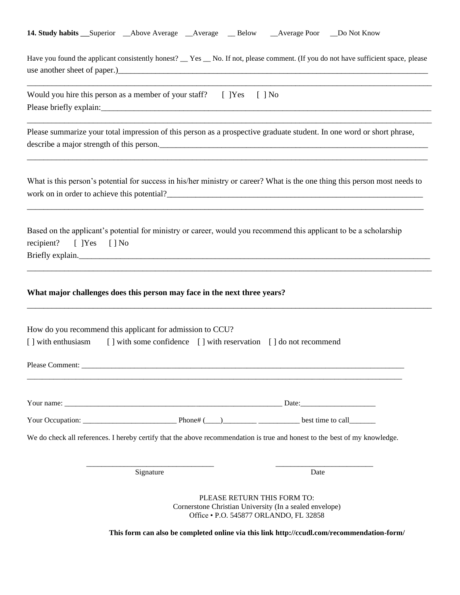|  | <b>14. Study habits</b> Superior Above Average Average Below |  | __Average Poor ___Do Not Know |  |
|--|--------------------------------------------------------------|--|-------------------------------|--|
|  |                                                              |  |                               |  |

Have you found the applicant consistently honest? \_\_ Yes \_\_ No. If not, please comment. (If you do not have sufficient space, please use another sheet of paper.)

\_\_\_\_\_\_\_\_\_\_\_\_\_\_\_\_\_\_\_\_\_\_\_\_\_\_\_\_\_\_\_\_\_\_\_\_\_\_\_\_\_\_\_\_\_\_\_\_\_\_\_\_\_\_\_\_\_\_\_\_\_\_\_\_\_\_\_\_\_\_\_\_\_\_\_\_\_\_\_\_\_\_\_\_\_\_\_\_\_\_\_\_\_\_\_\_\_\_

\_\_\_\_\_\_\_\_\_\_\_\_\_\_\_\_\_\_\_\_\_\_\_\_\_\_\_\_\_\_\_\_\_\_\_\_\_\_\_\_\_\_\_\_\_\_\_\_\_\_\_\_\_\_\_\_\_\_\_\_\_\_\_\_\_\_\_\_\_\_\_\_\_\_\_\_\_\_\_\_\_\_\_\_\_\_\_\_\_\_\_\_\_\_\_\_\_\_

| Would you hire this person as a member of your staff? $[$ $]$ Yes $[$ $]$ No |  |  |  |
|------------------------------------------------------------------------------|--|--|--|
| Please briefly explain:                                                      |  |  |  |

Please summarize your total impression of this person as a prospective graduate student. In one word or short phrase, describe a major strength of this person.

What is this person's potential for success in his/her ministry or career? What is the one thing this person most needs to work on in order to achieve this potential?\_\_\_\_\_\_\_\_\_\_\_\_\_\_\_\_\_\_\_\_\_\_\_\_\_\_\_\_\_\_\_\_\_\_\_\_\_\_\_\_\_\_\_\_\_\_\_\_\_\_\_\_\_\_\_\_\_\_\_\_\_\_

\_\_\_\_\_\_\_\_\_\_\_\_\_\_\_\_\_\_\_\_\_\_\_\_\_\_\_\_\_\_\_\_\_\_\_\_\_\_\_\_\_\_\_\_\_\_\_\_\_\_\_\_\_\_\_\_\_\_\_\_\_\_\_\_\_\_\_\_\_\_\_\_\_\_\_\_\_\_\_\_\_\_\_\_\_\_\_\_\_\_\_\_\_\_\_\_

\_\_\_\_\_\_\_\_\_\_\_\_\_\_\_\_\_\_\_\_\_\_\_\_\_\_\_\_\_\_\_\_\_\_\_\_\_\_\_\_\_\_\_\_\_\_\_\_\_\_\_\_\_\_\_\_\_\_\_\_\_\_\_\_\_\_\_\_\_\_\_\_\_\_\_\_\_\_\_\_\_\_\_\_\_\_\_\_\_\_\_\_\_\_\_\_\_\_

\_\_\_\_\_\_\_\_\_\_\_\_\_\_\_\_\_\_\_\_\_\_\_\_\_\_\_\_\_\_\_\_\_\_\_\_\_\_\_\_\_\_\_\_\_\_\_\_\_\_\_\_\_\_\_\_\_\_\_\_\_\_\_\_\_\_\_\_\_\_\_\_\_\_\_\_\_\_\_\_\_\_\_\_\_\_\_\_\_\_\_\_\_\_\_\_\_\_

\_\_\_\_\_\_\_\_\_\_\_\_\_\_\_\_\_\_\_\_\_\_\_\_\_\_\_\_\_\_\_\_\_\_\_\_\_\_\_\_\_\_\_\_\_\_\_\_\_\_\_\_\_\_\_\_\_\_\_\_\_\_\_\_\_\_\_\_\_\_\_\_\_\_\_\_\_\_\_\_\_\_\_\_\_\_\_\_\_\_\_\_\_\_\_\_\_

Based on the applicant's potential for ministry or career, would you recommend this applicant to be a scholarship recipient? [ ]Yes [ ] No Briefly explain.\_\_\_\_\_\_\_\_\_\_\_\_\_\_\_\_\_\_\_\_\_\_\_\_\_\_\_\_\_\_\_\_\_\_\_\_\_\_\_\_\_\_\_\_\_\_\_\_\_\_\_\_\_\_\_\_\_\_\_\_\_\_\_\_\_\_\_\_\_\_\_\_\_\_\_\_\_\_\_\_\_\_\_\_\_

#### **What major challenges does this person may face in the next three years?**

| How do you recommend this applicant for admission to CCU?                          |                                                                                                                            |  |
|------------------------------------------------------------------------------------|----------------------------------------------------------------------------------------------------------------------------|--|
| [] with enthusiasm [] with some confidence [] with reservation [] do not recommend |                                                                                                                            |  |
|                                                                                    |                                                                                                                            |  |
|                                                                                    |                                                                                                                            |  |
|                                                                                    | Your Occupation: $\qquad \qquad$ Phone# $(\qquad)$ best time to call                                                       |  |
|                                                                                    | We do check all references. I hereby certify that the above recommendation is true and honest to the best of my knowledge. |  |
| Signature                                                                          | Date                                                                                                                       |  |

PLEASE RETURN THIS FORM TO: Cornerstone Christian University (In a sealed envelope) Office • P.O. 545877 ORLANDO, FL 32858

**This form can also be completed online via this link http://ccudl.com/recommendation-form/**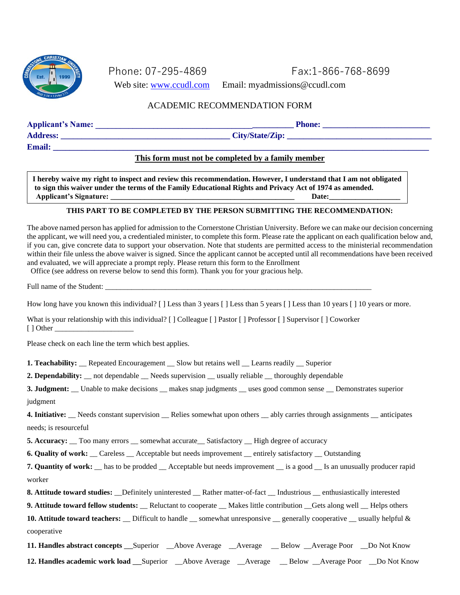

Phone: 07-295-4869 Fax:1-866-768-8699

Web site: [www.ccudl.com](http://www.ccudl.com/) Email: myadmissions@ccudl.com

## ACADEMIC RECOMMENDATION FORM

### Applicant's Name: **and the set of the set of the set of the set of the set of the set of the set of the set of the set of the set of the set of the set of the set of the set of the set of the set of the set of the set of t**

 $\bf{Advess:}$   $\bf{City}/\bf{State}/\bf{Zip:}$ 

## **Email: \_\_\_\_\_\_\_\_\_\_\_\_\_\_\_\_\_\_\_\_\_\_\_\_\_\_\_\_\_\_\_\_\_\_\_\_\_\_\_\_\_\_\_\_\_\_\_\_\_\_\_\_\_\_\_\_\_\_\_\_\_\_\_\_\_\_\_\_\_\_\_\_\_\_\_\_\_\_\_\_\_\_\_\_\_\_\_\_\_\_\_ This form must not be completed by a family member**

**I hereby waive my right to inspect and review this recommendation. However, I understand that I am not obligated to sign this waiver under the terms of the Family Educational Rights and Privacy Act of 1974 as amended. Applicant's Signature: \_\_\_\_\_\_\_\_\_\_\_\_\_\_\_\_\_\_\_\_\_\_\_\_\_\_\_\_\_\_\_\_\_\_\_\_\_\_\_\_\_\_\_\_\_\_\_\_\_ Date:\_\_\_\_\_\_\_\_\_\_\_\_\_\_\_\_\_\_\_**

#### **THIS PART TO BE COMPLETED BY THE PERSON SUBMITTING THE RECOMMENDATION:**

The above named person has applied for admission to the Cornerstone Christian University. Before we can make our decision concerning the applicant, we will need you, a credentialed minister, to complete this form. Please rate the applicant on each qualification below and, if you can, give concrete data to support your observation. Note that students are permitted access to the ministerial recommendation within their file unless the above waiver is signed. Since the applicant cannot be accepted until all recommendations have been received and evaluated, we will appreciate a prompt reply. Please return this form to the Enrollment

Office (see address on reverse below to send this form). Thank you for your gracious help.

Full name of the Student:

How long have you known this individual? [] Less than 3 years [] Less than 5 years [] Less than 10 years [] 10 years or more.

What is your relationship with this individual? [ ] Colleague [ ] Pastor [ ] Professor [ ] Supervisor [ ] Coworker

 $\lceil$  ] Other

Please check on each line the term which best applies.

**1. Teachability:** Repeated Encouragement Slow but retains well Learns readily Superior

**2. Dependability:** \_\_ not dependable \_\_ Needs supervision \_\_ usually reliable \_\_ thoroughly dependable

**3. Judgment:** Unable to make decisions \_\_ makes snap judgments \_\_ uses good common sense \_\_ Demonstrates superior judgment

**4. Initiative:** Needs constant supervision Relies somewhat upon others ably carries through assignments anticipates needs; is resourceful

**5. Accuracy:** \_\_ Too many errors \_\_ somewhat accurate\_\_ Satisfactory \_\_ High degree of accuracy

**6. Quality of work:**  $\_\_$  Careless  $\_\_$  Acceptable but needs improvement  $\_\_$  entirely satisfactory  $\_\_$  Outstanding

**7. Quantity of work:** has to be prodded Acceptable but needs improvement is a good Is an unusually producer rapid worker

8. Attitude toward studies: Definitely uninterested Rather matter-of-fact Industrious enthusiastically interested

**9. Attitude toward fellow students:** Reluctant to cooperate Makes little contribution Gets along well Helps others **10. Attitude toward teachers:** \_\_ Difficult to handle \_\_ somewhat unresponsive \_\_ generally cooperative \_\_ usually helpful & cooperative

**11. Handles abstract concepts** \_\_Superior \_\_Above Average \_\_Average \_\_ Below \_\_Average Poor \_\_Do Not Know **12. Handles academic work load** \_\_Superior \_\_Above Average \_\_Average \_\_ Below \_\_Average Poor \_\_Do Not Know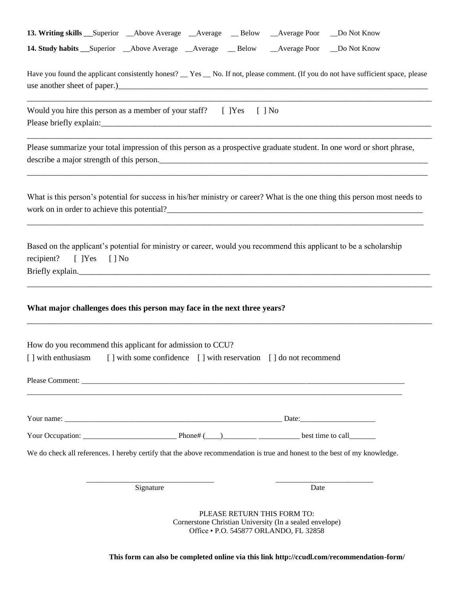|                          | 13. Writing skills __Superior __Above Average __Average __Below __Average Poor __Do Not Know                                                                                                                                           |                                                                                                                                  |  |
|--------------------------|----------------------------------------------------------------------------------------------------------------------------------------------------------------------------------------------------------------------------------------|----------------------------------------------------------------------------------------------------------------------------------|--|
|                          | 14. Study habits __ Superior __ Above Average __ Average __ Below __ Average Poor __ Do Not Know<br>Have you found the applicant consistently honest? __Yes __No. If not, please comment. (If you do not have sufficient space, please |                                                                                                                                  |  |
|                          | Would you hire this person as a member of your staff? [ ] Yes [ ] No                                                                                                                                                                   |                                                                                                                                  |  |
|                          | Please summarize your total impression of this person as a prospective graduate student. In one word or short phrase,<br>describe a major strength of this person.                                                                     |                                                                                                                                  |  |
|                          | What is this person's potential for success in his/her ministry or career? What is the one thing this person most needs to<br>work on in order to achieve this potential?<br><u> </u>                                                  |                                                                                                                                  |  |
| recipient? [ ]Yes [ ] No | Based on the applicant's potential for ministry or career, would you recommend this applicant to be a scholarship                                                                                                                      |                                                                                                                                  |  |
|                          | What major challenges does this person may face in the next three years?                                                                                                                                                               |                                                                                                                                  |  |
|                          | How do you recommend this applicant for admission to CCU?<br>[] with enthusiasm [] with some confidence [] with reservation [] do not recommend                                                                                        |                                                                                                                                  |  |
|                          |                                                                                                                                                                                                                                        |                                                                                                                                  |  |
|                          |                                                                                                                                                                                                                                        |                                                                                                                                  |  |
|                          |                                                                                                                                                                                                                                        |                                                                                                                                  |  |
|                          | We do check all references. I hereby certify that the above recommendation is true and honest to the best of my knowledge.                                                                                                             |                                                                                                                                  |  |
|                          | Signature                                                                                                                                                                                                                              | Date                                                                                                                             |  |
|                          |                                                                                                                                                                                                                                        | PLEASE RETURN THIS FORM TO:<br>Cornerstone Christian University (In a sealed envelope)<br>Office . P.O. 545877 ORLANDO, FL 32858 |  |

**This form can also be completed online via this link http://ccudl.com/recommendation-form/**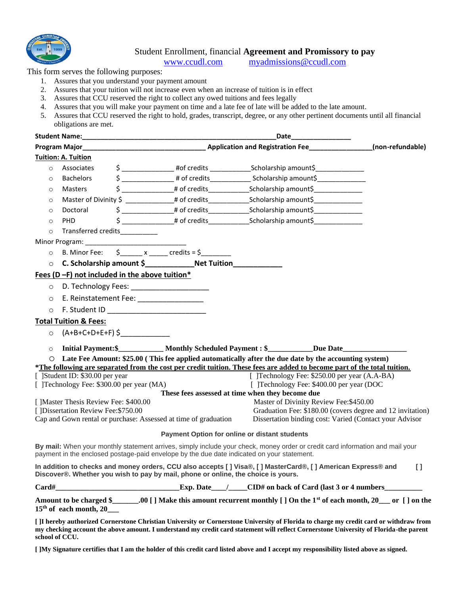

#### Student Enrollment, financial **Agreement and Promissory to pay**

[www.ccudl.com](http://www.ccudl.com/) [myadmissions@ccudl.com](mailto:myadmissions@ccudl.com)

This form serves the following purposes:

- 1. Assures that you understand your payment amount
- 2. Assures that your tuition will not increase even when an increase of tuition is in effect
- 3. Assures that CCU reserved the right to collect any owed tuitions and fees legally
- 4. Assures that you will make your payment on time and a late fee of late will be added to the late amount.
- 5. Assures that CCU reserved the right to hold, grades, transcript, degree, or any other pertinent documents until all financial obligations are met.

| <b>Student Name:</b>                                                                                                                                                                                                           |                                                                                            | Date                                                                                                                                                                                                                           |              |
|--------------------------------------------------------------------------------------------------------------------------------------------------------------------------------------------------------------------------------|--------------------------------------------------------------------------------------------|--------------------------------------------------------------------------------------------------------------------------------------------------------------------------------------------------------------------------------|--------------|
|                                                                                                                                                                                                                                |                                                                                            | Program Major Major Magior Magior Magior Magior Magior Magior Magior Magior Magior Magior Magior Magior Magior Magior Magior Magior Magior Magior Magior Magior Magior Magior Magior Magior Magior Magior Magior Magior Magior |              |
| <b>Tuition: A. Tuition</b>                                                                                                                                                                                                     |                                                                                            |                                                                                                                                                                                                                                |              |
| Associates<br>$\Omega$                                                                                                                                                                                                         |                                                                                            |                                                                                                                                                                                                                                |              |
| <b>Bachelors</b><br>$\circ$                                                                                                                                                                                                    |                                                                                            |                                                                                                                                                                                                                                |              |
| <b>Masters</b><br>$\circ$                                                                                                                                                                                                      |                                                                                            | \$ __________________# of credits ___________________Scholarship amount\$________________                                                                                                                                      |              |
| $\circ$                                                                                                                                                                                                                        |                                                                                            | Master of Divinity \$ _______________# of credits_________________________________                                                                                                                                             |              |
| Doctoral<br>$\circ$                                                                                                                                                                                                            |                                                                                            | \$ _________________# of credits ____________________Scholarship amount\$________________                                                                                                                                      |              |
| <b>PHD</b><br>$\circ$                                                                                                                                                                                                          |                                                                                            |                                                                                                                                                                                                                                |              |
| $\circ$                                                                                                                                                                                                                        | Transferred credits___________                                                             |                                                                                                                                                                                                                                |              |
| Minor Program: will be a series of the control of the control of the control of the control of the control of the control of the control of the control of the control of the control of the control of the control of the con |                                                                                            |                                                                                                                                                                                                                                |              |
| B. Minor Fee:<br>$\circ$                                                                                                                                                                                                       | $\frac{1}{2}$ x ______ credits = \$_________                                               |                                                                                                                                                                                                                                |              |
| $\circ$                                                                                                                                                                                                                        | C. Scholarship amount \$_________________Net Tuition_____________________________          |                                                                                                                                                                                                                                |              |
|                                                                                                                                                                                                                                | Fees (D -F) not included in the above tuition*                                             |                                                                                                                                                                                                                                |              |
| $\circ$                                                                                                                                                                                                                        | D. Technology Fees: _____________________                                                  |                                                                                                                                                                                                                                |              |
| $\circ$                                                                                                                                                                                                                        | E. Reinstatement Fee: __________________                                                   |                                                                                                                                                                                                                                |              |
| $\circ$                                                                                                                                                                                                                        |                                                                                            |                                                                                                                                                                                                                                |              |
| <b>Total Tuition &amp; Fees:</b>                                                                                                                                                                                               |                                                                                            |                                                                                                                                                                                                                                |              |
|                                                                                                                                                                                                                                |                                                                                            |                                                                                                                                                                                                                                |              |
| $\circ$                                                                                                                                                                                                                        |                                                                                            |                                                                                                                                                                                                                                |              |
| $\circ$                                                                                                                                                                                                                        |                                                                                            | Initial Payment:\$____________ Monthly Scheduled Payment : \$__________Due Date______________________                                                                                                                          |              |
| $\circ$                                                                                                                                                                                                                        |                                                                                            | Late Fee Amount: \$25.00 (This fee applied automatically after the due date by the accounting system)                                                                                                                          |              |
|                                                                                                                                                                                                                                |                                                                                            | *The following are separated from the cost per credit tuition. These fees are added to become part of the total tuition.                                                                                                       |              |
| [ ]Student ID: \$30.00 per year<br>[ ]Technology Fee: \$300.00 per year (MA)                                                                                                                                                   |                                                                                            | [ ]Technology Fee: \$250.00 per year (A.A-BA)<br>[ ]Technology Fee: \$400.00 per year (DOC)                                                                                                                                    |              |
|                                                                                                                                                                                                                                |                                                                                            | These fees assessed at time when they become due                                                                                                                                                                               |              |
| [ ]Master Thesis Review Fee: \$400.00                                                                                                                                                                                          |                                                                                            | Master of Divinity Review Fee: \$450.00                                                                                                                                                                                        |              |
| [ ]Dissertation Review Fee: \$750.00                                                                                                                                                                                           |                                                                                            | Graduation Fee: \$180.00 (covers degree and 12 invitation)                                                                                                                                                                     |              |
|                                                                                                                                                                                                                                | Cap and Gown rental or purchase: Assessed at time of graduation                            | Dissertation binding cost: Varied (Contact your Advisor                                                                                                                                                                        |              |
|                                                                                                                                                                                                                                |                                                                                            | Payment Option for online or distant students                                                                                                                                                                                  |              |
|                                                                                                                                                                                                                                | payment in the enclosed postage-paid envelope by the due date indicated on your statement. | By mail: When your monthly statement arrives, simply include your check, money order or credit card information and mail your                                                                                                  |              |
|                                                                                                                                                                                                                                | Discover®. Whether you wish to pay by mail, phone or online, the choice is yours.          | In addition to checks and money orders, CCU also accepts [] Visa®, [] MasterCard®, [] American Express® and                                                                                                                    | $\mathbf{I}$ |
| Card#                                                                                                                                                                                                                          |                                                                                            | $\frac{1}{2}$ Exp. Date $\frac{1}{2}$ CID# on back of Card (last 3 or 4 numbers                                                                                                                                                |              |
| $15th$ of each month, 20                                                                                                                                                                                                       |                                                                                            | Amount to be charged \$_________.00 [] Make this amount recurrent monthly [] On the 1 <sup>st</sup> of each month, 20____ or [] on the                                                                                         |              |

**[ ]I hereby authorized Cornerstone Christian University or Cornerstone University of Florida to charge my credit card or withdraw from my checking account the above amount. I understand my credit card statement will reflect Cornerstone University of Florida-the parent school of CCU.**

**[ ]My Signature certifies that I am the holder of this credit card listed above and I accept my responsibility listed above as signed.**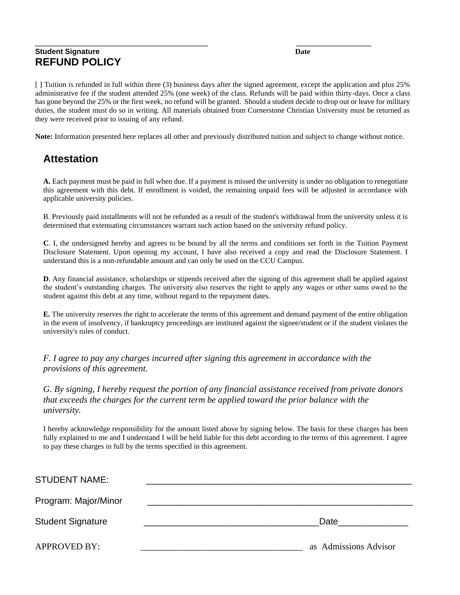#### **\_\_\_\_\_\_\_\_\_\_\_\_\_\_\_\_\_\_\_\_\_\_\_\_\_\_\_\_\_\_\_\_\_\_\_\_\_\_\_\_\_\_\_\_\_\_ \_\_\_\_\_\_\_\_\_\_\_\_\_\_\_\_\_\_\_\_ Student Signature** Date **REFUND POLICY**

[ ] Tuition is refunded in full within three (3) business days after the signed agreement, except the application and plus 25% administrative fee if the student attended 25% (one week) of the class. Refunds will be paid within thirty-days. Once a class has gone beyond the 25% or the first week, no refund will be granted. Should a student decide to drop out or leave for military duties, the student must do so in writing. All materials obtained from Cornerstone Christian University must be returned as they were received prior to issuing of any refund.

**Note:** Information presented here replaces all other and previously distributed tuition and subject to change without notice.

## **Attestation**

**A.** Each payment must be paid in full when due. If a payment is missed the university is under no obligation to renegotiate this agreement with this debt. If enrollment is voided, the remaining unpaid fees will be adjusted in accordance with applicable university policies.

B. Previously paid installments will not be refunded as a result of the student's withdrawal from the university unless it is determined that extenuating circumstances warrant such action based on the university refund policy.

**C**. I, the undersigned hereby and agrees to be bound by all the terms and conditions set forth in the Tuition Payment Disclosure Statement. Upon opening my account, I have also received a copy and read the Disclosure Statement. I understand this is a non-refundable amount and can only be used on the CCU Campus.

**D**. Any financial assistance, scholarships or stipends received after the signing of this agreement shall be applied against the student's outstanding charges. The university also reserves the right to apply any wages or other sums owed to the student against this debt at any time, without regard to the repayment dates.

**E.** The university reserves the right to accelerate the terms of this agreement and demand payment of the entire obligation in the event of insolvency, if bankruptcy proceedings are instituted against the signee/student or if the student violates the university's rules of conduct.

*F. I agree to pay any charges incurred after signing this agreement in accordance with the provisions of this agreement.*

*G. By signing, I hereby request the portion of any financial assistance received from private donors that exceeds the charges for the current term be applied toward the prior balance with the university.*

I hereby acknowledge responsibility for the amount listed above by signing below. The basis for these charges has been fully explained to me and I understand I will be held liable for this debt according to the terms of this agreement. I agree to pay these charges in full by the terms specified in this agreement.

| <b>STUDENT NAME:</b>     |                       |
|--------------------------|-----------------------|
| Program: Major/Minor     |                       |
| <b>Student Signature</b> | Date                  |
| <b>APPROVED BY:</b>      | as Admissions Advisor |